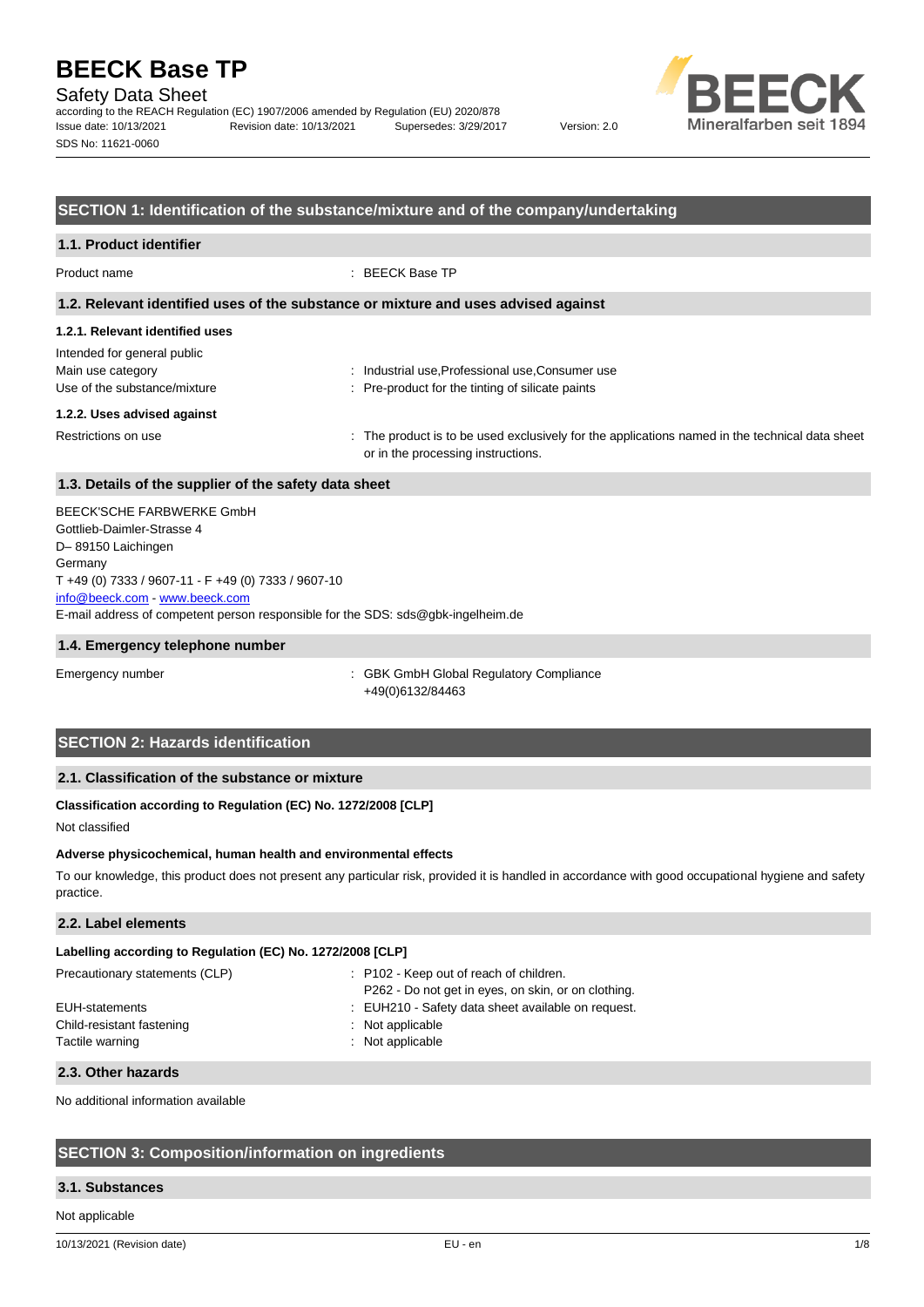Safety Data Sheet

according to the REACH Regulation (EC) 1907/2006 amended by Regulation (EU) 2020/878 Issue date: 10/13/2021 Revision date: 10/13/2021 Supersedes: 3/29/2017 Version: 2.0 SDS No: 11621-0060



## **SECTION 1: Identification of the substance/mixture and of the company/undertaking**

## **1.1. Product identifier** Product name : BEECK Base TP **1.2. Relevant identified uses of the substance or mixture and uses advised against 1.2.1. Relevant identified uses** Intended for general public Main use category **industrial use, Professional use, Consumer use** industrial use, Professional use, Consumer use Use of the substance/mixture in the state of the substance intervals of silicate paints **1.2.2. Uses advised against** Restrictions on use state of the product is to be used exclusively for the applications named in the technical data sheet or in the processing instructions.

## **1.3. Details of the supplier of the safety data sheet**

E-mail address of competent person responsible for the SDS: sds@gbk-ingelheim.de BEECK'SCHE FARBWERKE GmbH Gottlieb-Daimler-Strasse 4 D– 89150 Laichingen **Germany** T +49 (0) 7333 / 9607-11 - F +49 (0) 7333 / 9607-10 [info@beeck.com](mailto:info@beeck.com) - [www.beeck.com](http://www.beeck.com/)

## **1.4. Emergency telephone number**

Emergency number : GBK GmbH Global Regulatory Compliance +49(0)6132/84463

## **SECTION 2: Hazards identification**

## **2.1. Classification of the substance or mixture**

## **Classification according to Regulation (EC) No. 1272/2008 [CLP]**

Not classified

#### **Adverse physicochemical, human health and environmental effects**

To our knowledge, this product does not present any particular risk, provided it is handled in accordance with good occupational hygiene and safety practice.

## **2.2. Label elements**

## **Labelling according to Regulation (EC) No. 1272/2008 [CLP]**

| Precautionary statements (CLP) | : P102 - Keep out of reach of children.<br>P262 - Do not get in eyes, on skin, or on clothing. |
|--------------------------------|------------------------------------------------------------------------------------------------|
| EUH-statements                 | : EUH210 - Safety data sheet available on request.                                             |
| Child-resistant fastening      | : Not applicable                                                                               |
| Tactile warning                | : Not applicable                                                                               |
|                                |                                                                                                |

#### **2.3. Other hazards**

No additional information available

## **SECTION 3: Composition/information on ingredients**

#### **3.1. Substances**

Not applicable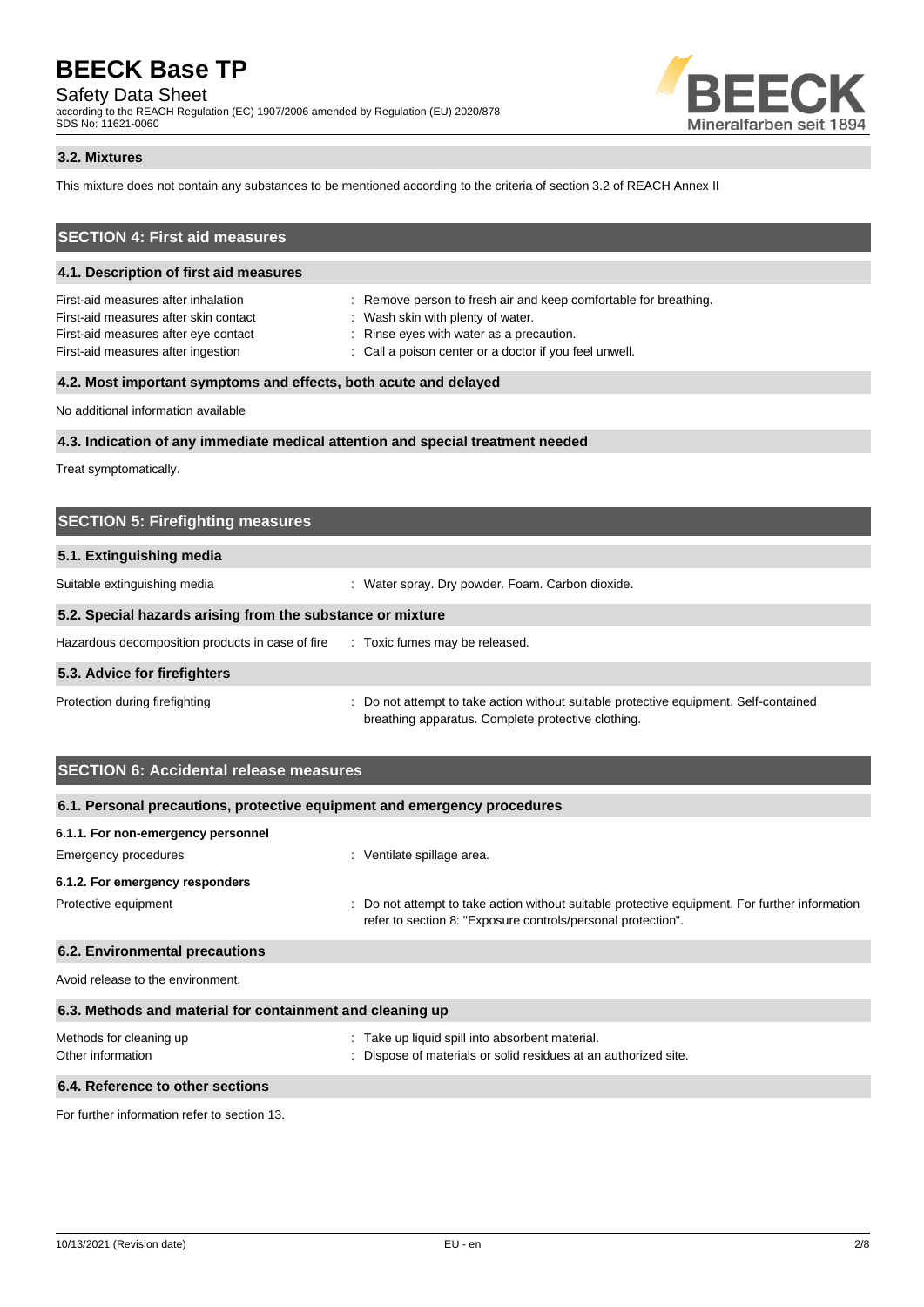Safety Data Sheet

according to the REACH Regulation (EC) 1907/2006 amended by Regulation (EU) 2020/878 SDS No: 11621-0060



## **3.2. Mixtures**

This mixture does not contain any substances to be mentioned according to the criteria of section 3.2 of REACH Annex II

## **SECTION 4: First aid measures**

## **4.1. Description of first aid measures**

First-aid measures after inhalation : Remove person to fresh air and keep comfortable for breathing. First-aid measures after skin contact : Wash skin with plenty of water. First-aid measures after eye contact : Rinse eyes with water as a precaution.

- 
- 
- First-aid measures after ingestion : Call a poison center or a doctor if you feel unwell.

## **4.2. Most important symptoms and effects, both acute and delayed**

No additional information available

## **4.3. Indication of any immediate medical attention and special treatment needed**

Treat symptomatically.

| <b>SECTION 5: Firefighting measures</b>                    |                                                                                                                                             |  |
|------------------------------------------------------------|---------------------------------------------------------------------------------------------------------------------------------------------|--|
| 5.1. Extinguishing media                                   |                                                                                                                                             |  |
| Suitable extinguishing media                               | : Water spray. Dry powder. Foam. Carbon dioxide.                                                                                            |  |
| 5.2. Special hazards arising from the substance or mixture |                                                                                                                                             |  |
| Hazardous decomposition products in case of fire           | : Toxic fumes may be released.                                                                                                              |  |
| 5.3. Advice for firefighters                               |                                                                                                                                             |  |
| Protection during firefighting                             | : Do not attempt to take action without suitable protective equipment. Self-contained<br>breathing apparatus. Complete protective clothing. |  |

## **SECTION 6: Accidental release measures**

| 6.1. Personal precautions, protective equipment and emergency procedures |                                                                                                                                                                |  |
|--------------------------------------------------------------------------|----------------------------------------------------------------------------------------------------------------------------------------------------------------|--|
| 6.1.1. For non-emergency personnel                                       |                                                                                                                                                                |  |
| Emergency procedures                                                     | : Ventilate spillage area.                                                                                                                                     |  |
| 6.1.2. For emergency responders                                          |                                                                                                                                                                |  |
| Protective equipment                                                     | : Do not attempt to take action without suitable protective equipment. For further information<br>refer to section 8: "Exposure controls/personal protection". |  |
| 6.2. Environmental precautions                                           |                                                                                                                                                                |  |
| Avoid release to the environment.                                        |                                                                                                                                                                |  |
| 6.3. Methods and material for containment and cleaning up                |                                                                                                                                                                |  |
| Methods for cleaning up<br>Other information                             | : Take up liquid spill into absorbent material.<br>: Dispose of materials or solid residues at an authorized site.                                             |  |
| 6.4. Reference to other sections                                         |                                                                                                                                                                |  |

For further information refer to section 13.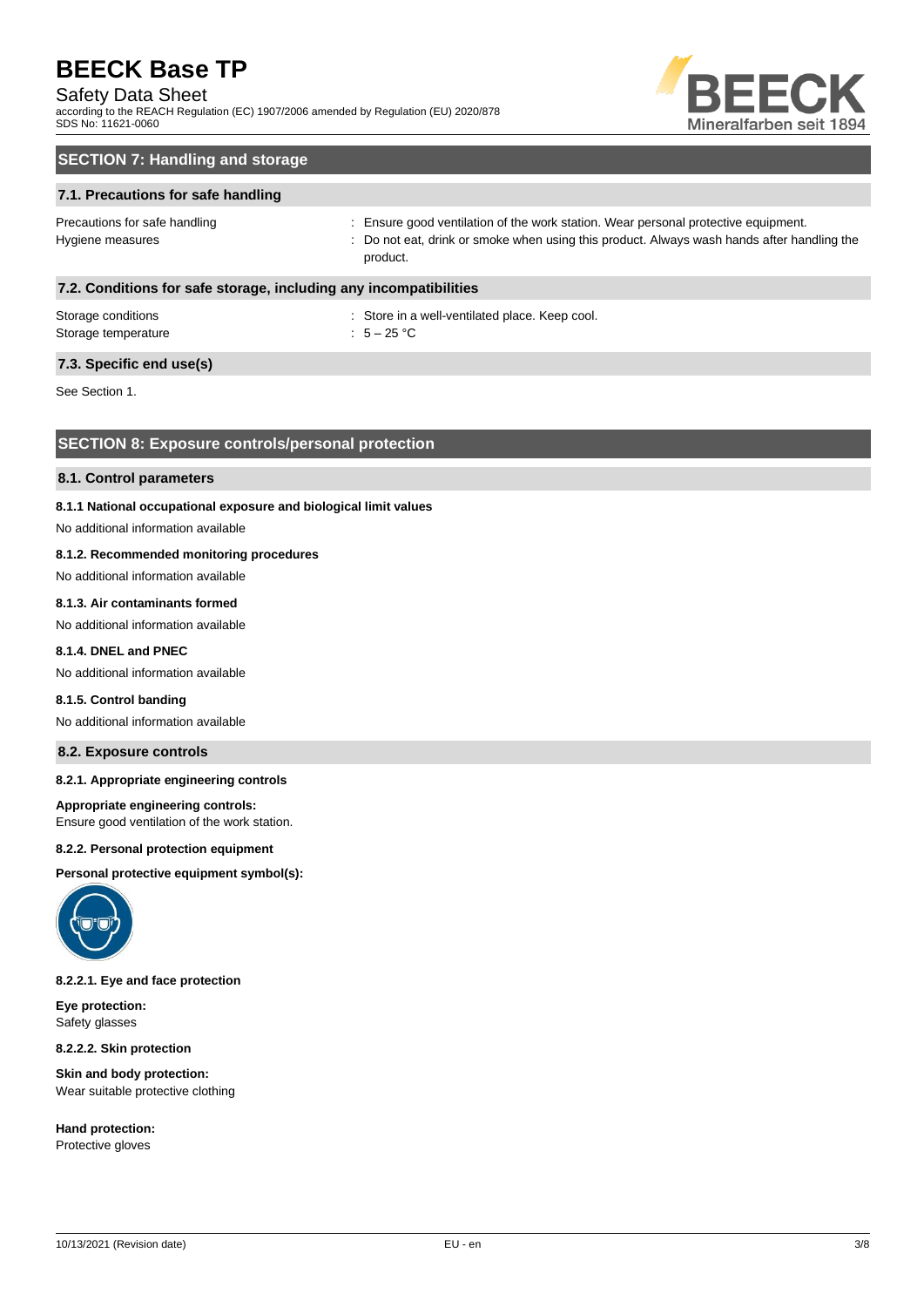## Safety Data Sheet

according to the REACH Regulation (EC) 1907/2006 amended by Regulation (EU) 2020/878 SDS No: 11621-0060



## **SECTION 7: Handling and storage**

## **7.1. Precautions for safe handling**

Precautions for safe handling state is ensure good ventilation of the work station. Wear personal protective equipment. Hygiene measures states of the state of the control of the cat, drink or smoke when using this product. Always wash hands after handling the product.

## **7.2. Conditions for safe storage, including any incompatibilities**

| Storage conditions  | : Store in a |
|---------------------|--------------|
| Storage temperature | : $5-25$ °C  |

: Store in a well-ventilated place. Keep cool.

## **7.3. Specific end use(s)**

See Section 1.

## **SECTION 8: Exposure controls/personal protection**

#### **8.1. Control parameters**

#### **8.1.1 National occupational exposure and biological limit values**

No additional information available

## **8.1.2. Recommended monitoring procedures**

No additional information available

## **8.1.3. Air contaminants formed**

No additional information available

## **8.1.4. DNEL and PNEC**

No additional information available

#### **8.1.5. Control banding**

No additional information available

## **8.2. Exposure controls**

### **8.2.1. Appropriate engineering controls**

#### **Appropriate engineering controls:**

Ensure good ventilation of the work station.

#### **8.2.2. Personal protection equipment**

**Personal protective equipment symbol(s):**



**8.2.2.1. Eye and face protection**

**Eye protection:** Safety glasses

**8.2.2.2. Skin protection**

**Skin and body protection:** Wear suitable protective clothing

**Hand protection:** Protective gloves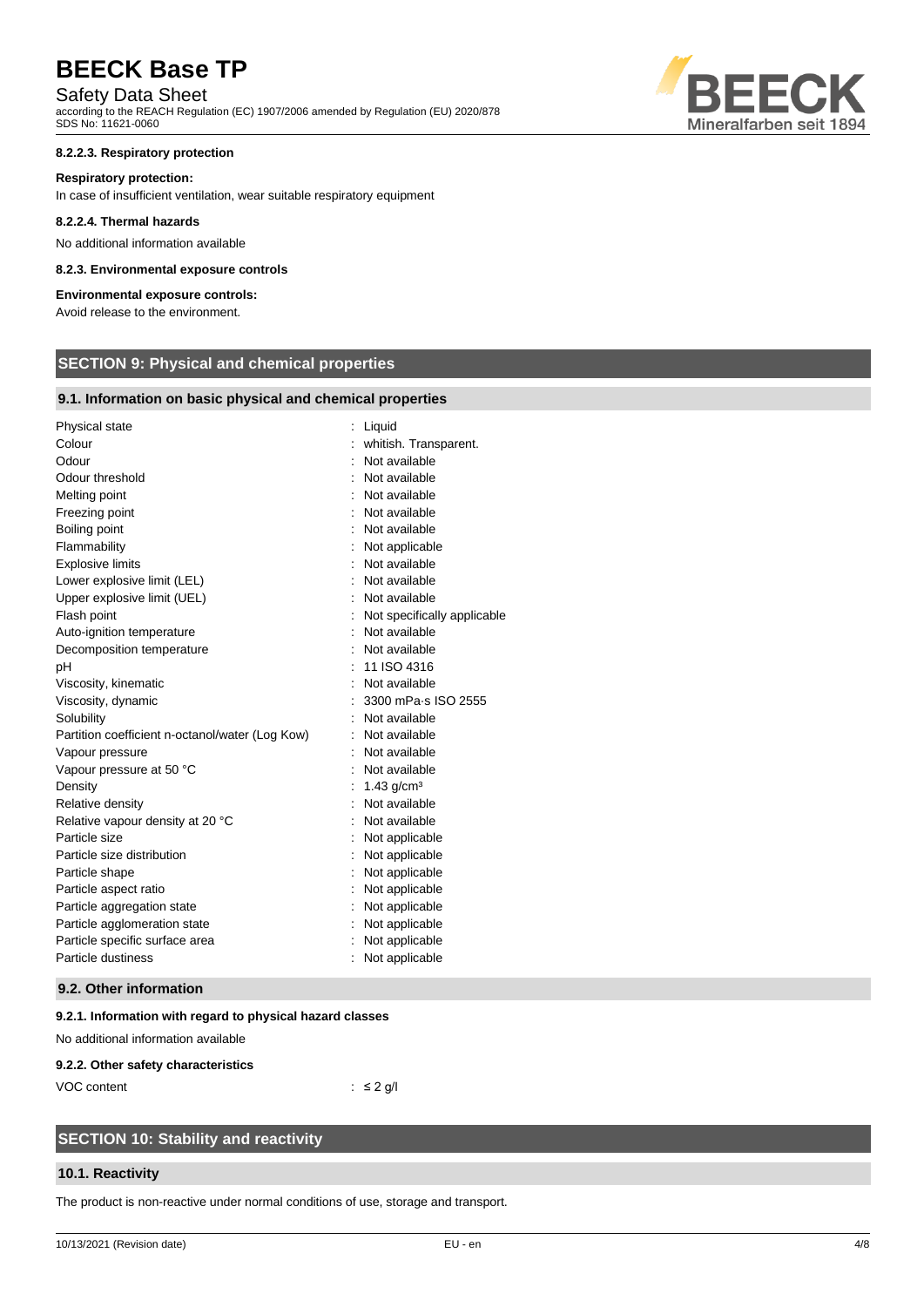## Safety Data Sheet

according to the REACH Regulation (EC) 1907/2006 amended by Regulation (EU) 2020/878 SDS No: 11621-0060

### **8.2.2.3. Respiratory protection**

#### **Respiratory protection:**

In case of insufficient ventilation, wear suitable respiratory equipment

#### **8.2.2.4. Thermal hazards**

No additional information available

### **8.2.3. Environmental exposure controls**

## **Environmental exposure controls:**

Avoid release to the environment.

## **SECTION 9: Physical and chemical properties**

## **9.1. Information on basic physical and chemical properties**

| Physical state                                  | Liquid                      |
|-------------------------------------------------|-----------------------------|
| Colour                                          | whitish. Transparent.       |
| Odour                                           | Not available               |
| Odour threshold                                 | Not available               |
| Melting point                                   | Not available               |
| Freezing point                                  | Not available               |
| Boiling point                                   | Not available               |
| Flammability                                    | Not applicable              |
| <b>Explosive limits</b>                         | Not available               |
| Lower explosive limit (LEL)                     | Not available               |
| Upper explosive limit (UEL)                     | Not available               |
| Flash point                                     | Not specifically applicable |
| Auto-ignition temperature                       | Not available               |
| Decomposition temperature                       | Not available               |
| рH                                              | 11 ISO 4316                 |
| Viscosity, kinematic                            | Not available               |
| Viscosity, dynamic                              | 3300 mPa-s ISO 2555         |
| Solubility                                      | Not available               |
| Partition coefficient n-octanol/water (Log Kow) | Not available               |
| Vapour pressure                                 | Not available               |
| Vapour pressure at 50 °C                        | Not available               |
| Density                                         | 1.43 $q/cm3$                |
| Relative density                                | Not available               |
| Relative vapour density at 20 °C                | Not available               |
| Particle size                                   | Not applicable              |
| Particle size distribution                      | Not applicable              |
| Particle shape                                  | Not applicable              |
| Particle aspect ratio                           | Not applicable              |
| Particle aggregation state                      | Not applicable              |
| Particle agglomeration state                    | Not applicable              |
| Particle specific surface area                  | Not applicable              |
| Particle dustiness                              | Not applicable              |
|                                                 |                             |

## **9.2. Other information**

## **9.2.1. Information with regard to physical hazard classes**

No additional information available

#### **9.2.2. Other safety characteristics**

VOC content : ≤ 2 g/l

## **SECTION 10: Stability and reactivity**

## **10.1. Reactivity**

The product is non-reactive under normal conditions of use, storage and transport.

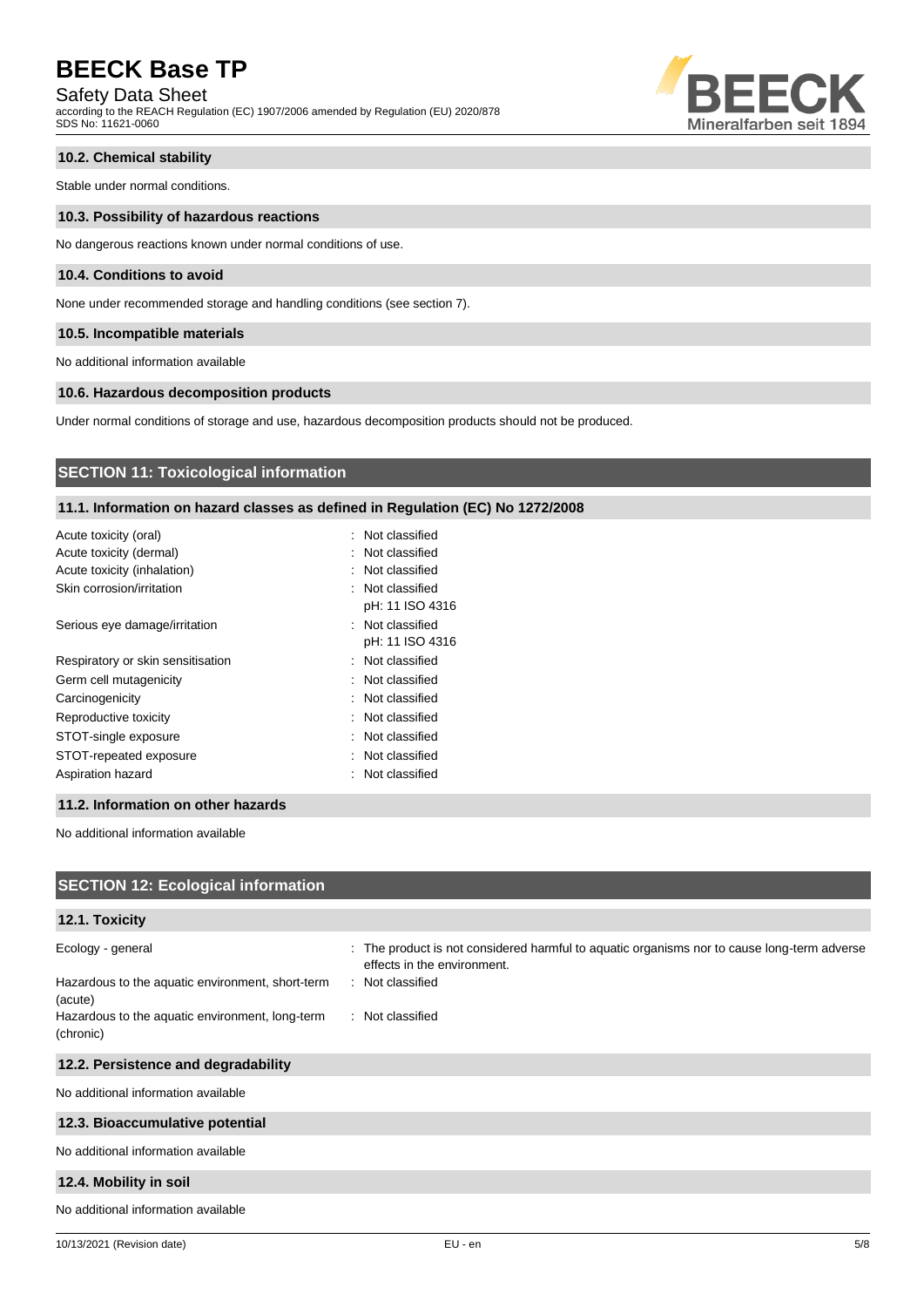Safety Data Sheet

according to the REACH Regulation (EC) 1907/2006 amended by Regulation (EU) 2020/878 SDS No: 11621-0060



## **10.2. Chemical stability**

Stable under normal conditions.

#### **10.3. Possibility of hazardous reactions**

No dangerous reactions known under normal conditions of use.

## **10.4. Conditions to avoid**

None under recommended storage and handling conditions (see section 7).

### **10.5. Incompatible materials**

No additional information available

## **10.6. Hazardous decomposition products**

Under normal conditions of storage and use, hazardous decomposition products should not be produced.

## **SECTION 11: Toxicological information**

## **11.1. Information on hazard classes as defined in Regulation (EC) No 1272/2008**

| Acute toxicity (oral)             | : Not classified |
|-----------------------------------|------------------|
| Acute toxicity (dermal)           | : Not classified |
| Acute toxicity (inhalation)       | : Not classified |
| Skin corrosion/irritation         | : Not classified |
|                                   | pH: 11 ISO 4316  |
| Serious eye damage/irritation     | : Not classified |
|                                   | pH: 11 ISO 4316  |
| Respiratory or skin sensitisation | : Not classified |
| Germ cell mutagenicity            | : Not classified |
| Carcinogenicity                   | : Not classified |
| Reproductive toxicity             | : Not classified |
| STOT-single exposure              | : Not classified |
| STOT-repeated exposure            | : Not classified |
| Aspiration hazard                 | : Not classified |
|                                   |                  |

### **11.2. Information on other hazards**

No additional information available

| <b>SECTION 12: Ecological information</b>                                                                                                        |                                                                                                                                                                    |
|--------------------------------------------------------------------------------------------------------------------------------------------------|--------------------------------------------------------------------------------------------------------------------------------------------------------------------|
| 12.1. Toxicity                                                                                                                                   |                                                                                                                                                                    |
| Ecology - general<br>Hazardous to the aquatic environment, short-term<br>(acute)<br>Hazardous to the aquatic environment, long-term<br>(chronic) | : The product is not considered harmful to aquatic organisms nor to cause long-term adverse<br>effects in the environment.<br>: Not classified<br>: Not classified |
| 12.2. Persistence and degradability                                                                                                              |                                                                                                                                                                    |
| No additional information available                                                                                                              |                                                                                                                                                                    |
| 12.3. Bioaccumulative potential                                                                                                                  |                                                                                                                                                                    |
| No additional information available                                                                                                              |                                                                                                                                                                    |
| 12.4. Mobility in soil                                                                                                                           |                                                                                                                                                                    |
| No additional information available                                                                                                              |                                                                                                                                                                    |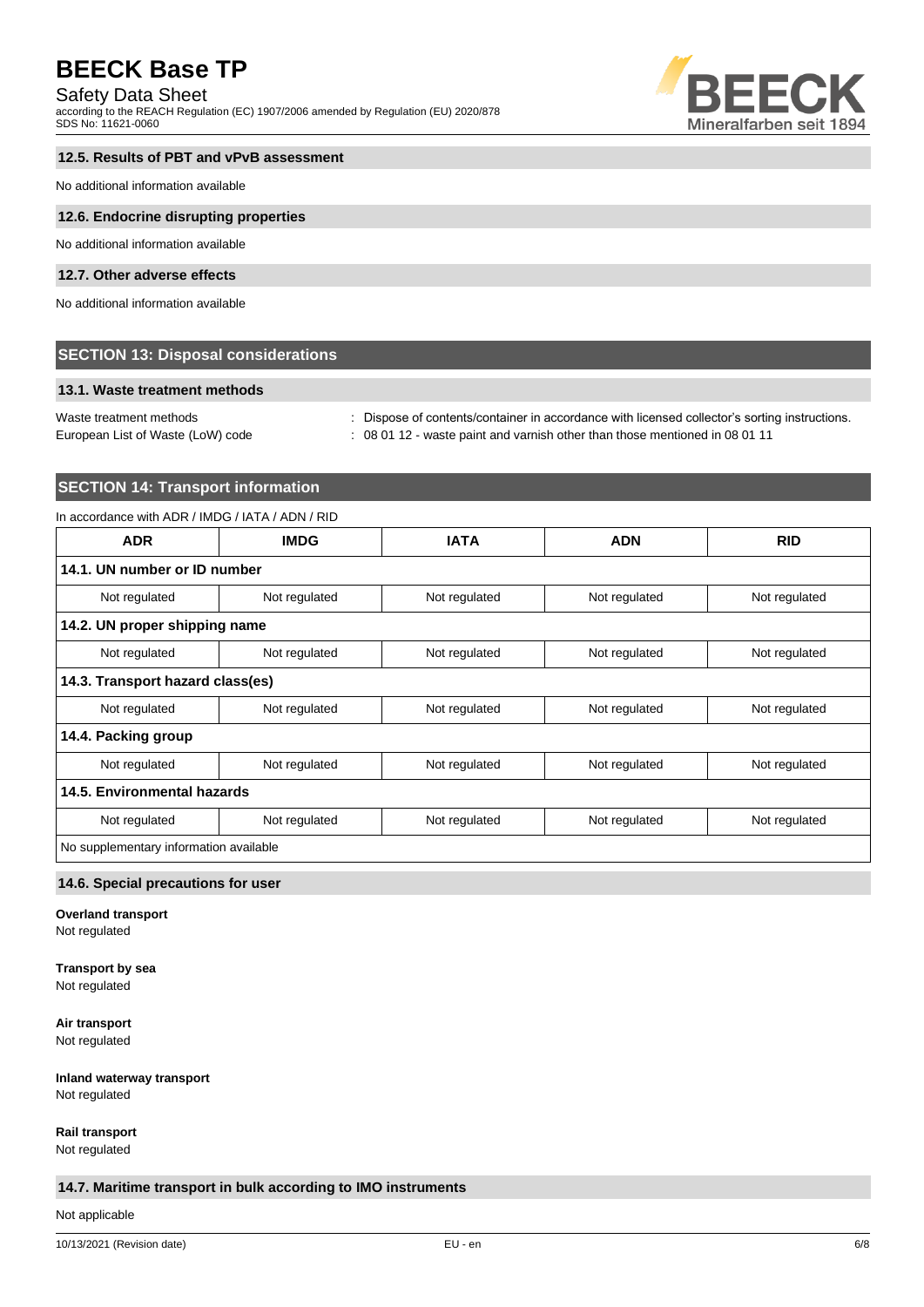## Safety Data Sheet

according to the REACH Regulation (EC) 1907/2006 amended by Regulation (EU) 2020/878 SDS No: 11621-0060



## **12.5. Results of PBT and vPvB assessment**

No additional information available

#### **12.6. Endocrine disrupting properties**

No additional information available

## **12.7. Other adverse effects**

No additional information available

## **SECTION 13: Disposal considerations**

### **13.1. Waste treatment methods**

European List of Waste (LoW) code : 08 01 12 - waste paint and varnish other than those mentioned in 08 01 11

Waste treatment methods : Dispose of contents/container in accordance with licensed collector's sorting instructions.

## **SECTION 14: Transport information**

## In accordance with ADR / IMDG / IATA / ADN / RID

| <b>ADR</b>                             | <b>IMDG</b>   | <b>IATA</b>   | <b>ADN</b>    | <b>RID</b>    |
|----------------------------------------|---------------|---------------|---------------|---------------|
| 14.1. UN number or ID number           |               |               |               |               |
| Not regulated                          | Not regulated | Not regulated | Not regulated | Not regulated |
| 14.2. UN proper shipping name          |               |               |               |               |
| Not regulated                          | Not regulated | Not regulated | Not regulated | Not regulated |
| 14.3. Transport hazard class(es)       |               |               |               |               |
| Not regulated                          | Not regulated | Not regulated | Not regulated | Not regulated |
| 14.4. Packing group                    |               |               |               |               |
| Not regulated                          | Not regulated | Not regulated | Not regulated | Not regulated |
| 14.5. Environmental hazards            |               |               |               |               |
| Not regulated                          | Not regulated | Not regulated | Not regulated | Not regulated |
| No supplementary information available |               |               |               |               |

## **14.6. Special precautions for user**

**Overland transport**

Not regulated

## **Transport by sea**

Not regulated

**Air transport** Not regulated

**Inland waterway transport**

Not regulated

**Rail transport**

Not regulated

## **14.7. Maritime transport in bulk according to IMO instruments**

Not applicable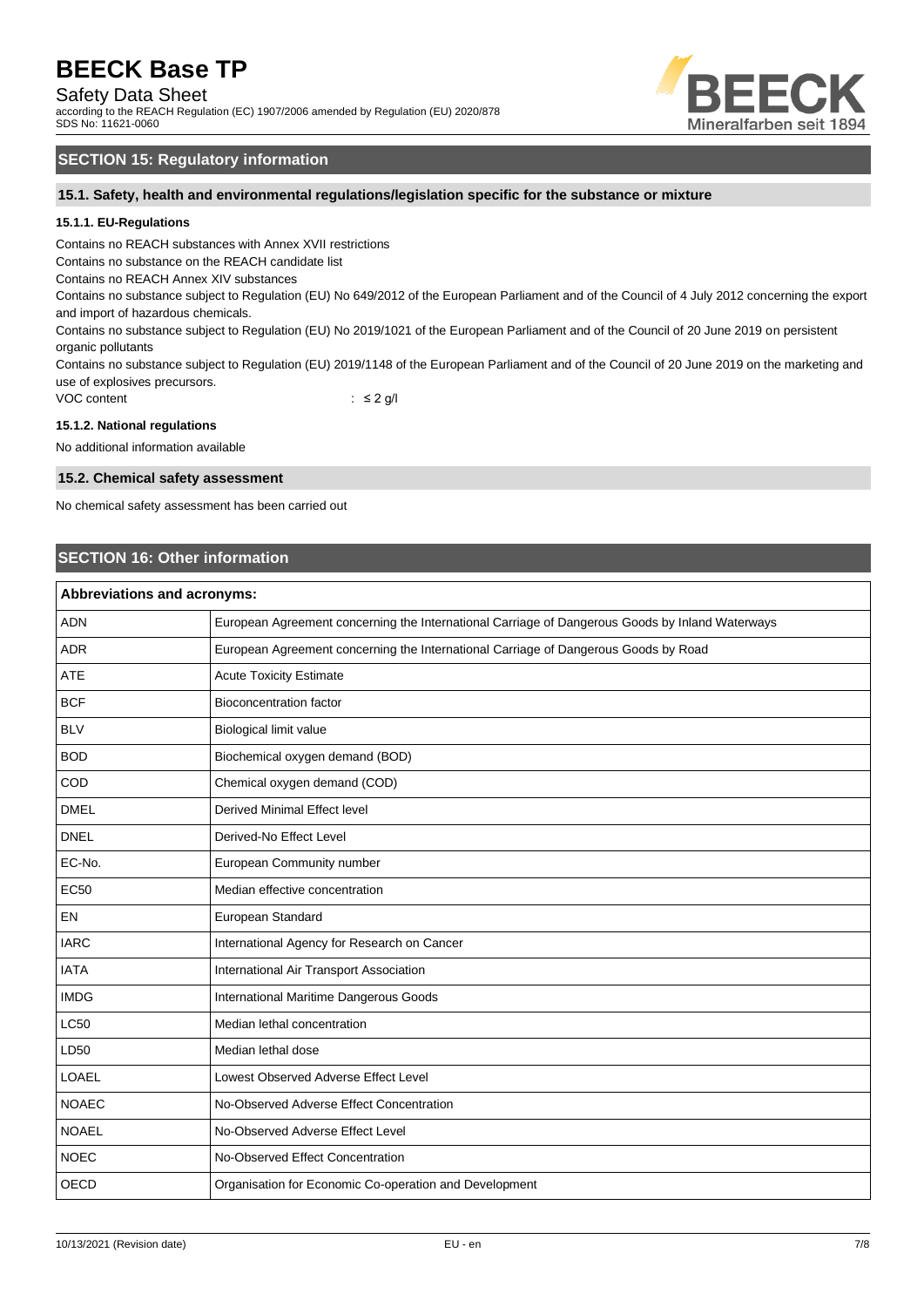## Safety Data Sheet

according to the REACH Regulation (EC) 1907/2006 amended by Regulation (EU) 2020/878 SDS No: 11621-0060



## **SECTION 15: Regulatory information**

**15.1. Safety, health and environmental regulations/legislation specific for the substance or mixture**

## **15.1.1. EU-Regulations**

Contains no REACH substances with Annex XVII restrictions

Contains no substance on the REACH candidate list

Contains no REACH Annex XIV substances

Contains no substance subject to Regulation (EU) No 649/2012 of the European Parliament and of the Council of 4 July 2012 concerning the export and import of hazardous chemicals.

Contains no substance subject to Regulation (EU) No 2019/1021 of the European Parliament and of the Council of 20 June 2019 on persistent organic pollutants

Contains no substance subject to Regulation (EU) 2019/1148 of the European Parliament and of the Council of 20 June 2019 on the marketing and use of explosives precursors.

VOC content : ≤ 2 g/l

#### **15.1.2. National regulations**

No additional information available

#### **15.2. Chemical safety assessment**

No chemical safety assessment has been carried out

## **SECTION 16: Other information**

| Abbreviations and acronyms: |                                                                                                 |  |
|-----------------------------|-------------------------------------------------------------------------------------------------|--|
| <b>ADN</b>                  | European Agreement concerning the International Carriage of Dangerous Goods by Inland Waterways |  |
| <b>ADR</b>                  | European Agreement concerning the International Carriage of Dangerous Goods by Road             |  |
| <b>ATE</b>                  | <b>Acute Toxicity Estimate</b>                                                                  |  |
| <b>BCF</b>                  | <b>Bioconcentration factor</b>                                                                  |  |
| <b>BLV</b>                  | Biological limit value                                                                          |  |
| <b>BOD</b>                  | Biochemical oxygen demand (BOD)                                                                 |  |
| COD                         | Chemical oxygen demand (COD)                                                                    |  |
| <b>DMEL</b>                 | <b>Derived Minimal Effect level</b>                                                             |  |
| <b>DNEL</b>                 | Derived-No Effect Level                                                                         |  |
| EC-No.                      | European Community number                                                                       |  |
| <b>EC50</b>                 | Median effective concentration                                                                  |  |
| <b>EN</b>                   | European Standard                                                                               |  |
| <b>IARC</b>                 | International Agency for Research on Cancer                                                     |  |
| <b>IATA</b>                 | International Air Transport Association                                                         |  |
| <b>IMDG</b>                 | International Maritime Dangerous Goods                                                          |  |
| <b>LC50</b>                 | Median lethal concentration                                                                     |  |
| LD50                        | Median lethal dose                                                                              |  |
| <b>LOAEL</b>                | Lowest Observed Adverse Effect Level                                                            |  |
| <b>NOAEC</b>                | No-Observed Adverse Effect Concentration                                                        |  |
| <b>NOAEL</b>                | No-Observed Adverse Effect Level                                                                |  |
| <b>NOEC</b>                 | No-Observed Effect Concentration                                                                |  |
| <b>OECD</b>                 | Organisation for Economic Co-operation and Development                                          |  |